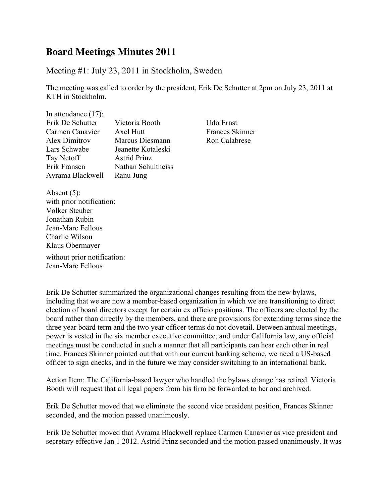## **Board Meetings Minutes 2011**

## Meeting #1: July 23, 2011 in Stockholm, Sweden

The meeting was called to order by the president, Erik De Schutter at 2pm on July 23, 2011 at KTH in Stockholm.

| In attendance $(17)$ : |                     |
|------------------------|---------------------|
| Erik De Schutter       | Victoria Booth      |
| Carmen Canavier        | Axel Hutt           |
| <b>Alex Dimitrov</b>   | Marcus Diesmann     |
| Lars Schwabe           | Jeanette Kotaleski  |
| Tay Netoff             | <b>Astrid Prinz</b> |
| Erik Fransen           | Nathan Schultheiss  |
| Avrama Blackwell       | Ranu Jung           |

Udo Ernst Frances Skinner Ron Calabrese

Absent (5): with prior notification: Volker Steuber Jonathan Rubin Jean-Marc Fellous Charlie Wilson Klaus Obermayer without prior notification: Jean-Marc Fellous

Erik De Schutter summarized the organizational changes resulting from the new bylaws, including that we are now a member-based organization in which we are transitioning to direct election of board directors except for certain ex officio positions. The officers are elected by the board rather than directly by the members, and there are provisions for extending terms since the three year board term and the two year officer terms do not dovetail. Between annual meetings, power is vested in the six member executive committee, and under California law, any official meetings must be conducted in such a manner that all participants can hear each other in real time. Frances Skinner pointed out that with our current banking scheme, we need a US-based officer to sign checks, and in the future we may consider switching to an international bank.

Action Item: The California-based lawyer who handled the bylaws change has retired. Victoria Booth will request that all legal papers from his firm be forwarded to her and archived.

Erik De Schutter moved that we eliminate the second vice president position, Frances Skinner seconded, and the motion passed unanimously.

Erik De Schutter moved that Avrama Blackwell replace Carmen Canavier as vice president and secretary effective Jan 1 2012. Astrid Prinz seconded and the motion passed unanimously. It was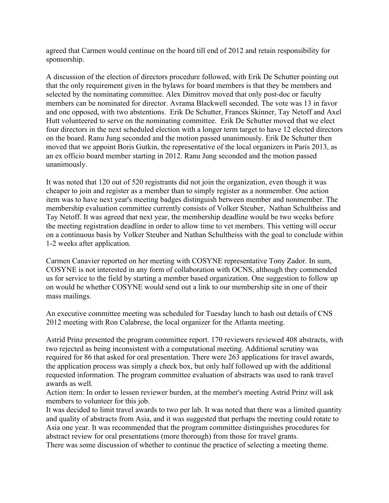agreed that Carmen would continue on the board till end of 2012 and retain responsibility for sponsorship.

A discussion of the election of directors procedure followed, with Erik De Schutter pointing out that the only requirement given in the bylaws for board members is that they be members and selected by the nominating committee. Alex Dimitrov moved that only post-doc or faculty members can be nominated for director. Avrama Blackwell seconded. The vote was 13 in favor and one opposed, with two abstentions. Erik De Schutter, Frances Skinner, Tay Netoff and Axel Hutt volunteered to serve on the nominating committee. Erik De Schutter moved that we elect four directors in the next scheduled election with a longer term target to have 12 elected directors on the board. Ranu Jung seconded and the motion passed unanimously. Erik De Schutter then moved that we appoint Boris Gutkin, the representative of the local organizers in Paris 2013, as an ex officio board member starting in 2012. Ranu Jung seconded and the motion passed unanimously.

It was noted that 120 out of 520 registrants did not join the organization, even though it was cheaper to join and register as a member than to simply register as a nonmember. One action item was to have next year's meeting badges distinguish between member and nonmember. The membership evaluation committee currently consists of Volker Steuber, Nathan Schultheiss and Tay Netoff. It was agreed that next year, the membership deadline would be two weeks before the meeting registration deadline in order to allow time to vet members. This vetting will occur on a continuous basis by Volker Steuber and Nathan Schultheiss with the goal to conclude within 1-2 weeks after application.

Carmen Canavier reported on her meeting with COSYNE representative Tony Zador. In sum, COSYNE is not interested in any form of collaboration with OCNS, although they commended us for service to the field by starting a member based organization. One suggestion to follow up on would be whether COSYNE would send out a link to our membership site in one of their mass mailings.

An executive committee meeting was scheduled for Tuesday lunch to hash out details of CNS 2012 meeting with Ron Calabrese, the local organizer for the Atlanta meeting.

Astrid Prinz presented the program committee report. 170 reviewers reviewed 408 abstracts, with two rejected as being inconsistent with a computational meeting. Additional scrutiny was required for 86 that asked for oral presentation. There were 263 applications for travel awards, the application process was simply a check box, but only half followed up with the additional requested information. The program committee evaluation of abstracts was used to rank travel awards as well.

Action item: In order to lessen reviewer burden, at the member's meeting Astrid Prinz will ask members to volunteer for this job.

It was decided to limit travel awards to two per lab. It was noted that there was a limited quantity and quality of abstracts from Asia, and it was suggested that perhaps the meeting could rotate to Asia one year. It was recommended that the program committee distinguishes procedures for abstract review for oral presentations (more thorough) from those for travel grants.

There was some discussion of whether to continue the practice of selecting a meeting theme.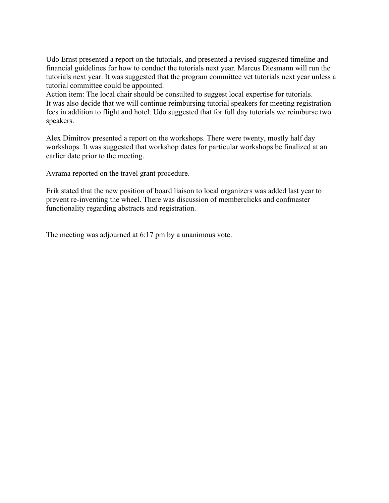Udo Ernst presented a report on the tutorials, and presented a revised suggested timeline and financial guidelines for how to conduct the tutorials next year. Marcus Diesmann will run the tutorials next year. It was suggested that the program committee vet tutorials next year unless a tutorial committee could be appointed.

Action item: The local chair should be consulted to suggest local expertise for tutorials. It was also decide that we will continue reimbursing tutorial speakers for meeting registration fees in addition to flight and hotel. Udo suggested that for full day tutorials we reimburse two speakers.

Alex Dimitrov presented a report on the workshops. There were twenty, mostly half day workshops. It was suggested that workshop dates for particular workshops be finalized at an earlier date prior to the meeting.

Avrama reported on the travel grant procedure.

Erik stated that the new position of board liaison to local organizers was added last year to prevent re-inventing the wheel. There was discussion of memberclicks and confmaster functionality regarding abstracts and registration.

The meeting was adjourned at 6:17 pm by a unanimous vote.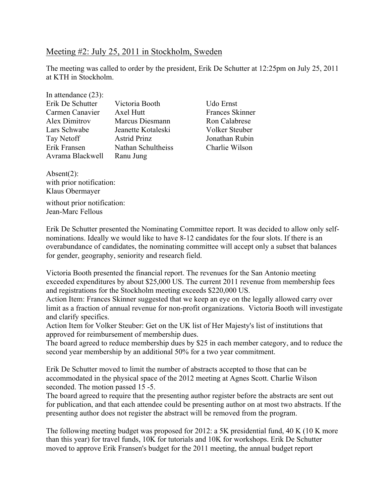## Meeting #2: July 25, 2011 in Stockholm, Sweden

The meeting was called to order by the president, Erik De Schutter at 12:25pm on July 25, 2011 at KTH in Stockholm.

| In attendance $(23)$ : |                     |
|------------------------|---------------------|
| Erik De Schutter       | Victoria Booth      |
| Carmen Canavier        | Axel Hutt           |
| Alex Dimitrov          | Marcus Diesmann     |
| Lars Schwabe           | Jeanette Kotaleski  |
| Tay Netoff             | <b>Astrid Prinz</b> |
| Erik Fransen           | Nathan Schultheiss  |
| Avrama Blackwell       | Ranu Jung           |

Udo Ernst Frances Skinner Ron Calabrese Volker Steuber Jonathan Rubin Charlie Wilson

Absent(2): with prior notification: Klaus Obermayer without prior notification: Jean-Marc Fellous

Erik De Schutter presented the Nominating Committee report. It was decided to allow only selfnominations. Ideally we would like to have 8-12 candidates for the four slots. If there is an overabundance of candidates, the nominating committee will accept only a subset that balances for gender, geography, seniority and research field.

Victoria Booth presented the financial report. The revenues for the San Antonio meeting exceeded expenditures by about \$25,000 US. The current 2011 revenue from membership fees and registrations for the Stockholm meeting exceeds \$220,000 US.

Action Item: Frances Skinner suggested that we keep an eye on the legally allowed carry over limit as a fraction of annual revenue for non-profit organizations. Victoria Booth will investigate and clarify specifics.

Action Item for Volker Steuber: Get on the UK list of Her Majesty's list of institutions that approved for reimbursement of membership dues.

The board agreed to reduce membership dues by \$25 in each member category, and to reduce the second year membership by an additional 50% for a two year commitment.

Erik De Schutter moved to limit the number of abstracts accepted to those that can be accommodated in the physical space of the 2012 meeting at Agnes Scott. Charlie Wilson seconded. The motion passed 15 -5.

The board agreed to require that the presenting author register before the abstracts are sent out for publication, and that each attendee could be presenting author on at most two abstracts. If the presenting author does not register the abstract will be removed from the program.

The following meeting budget was proposed for 2012: a 5K presidential fund, 40 K (10 K more than this year) for travel funds, 10K for tutorials and 10K for workshops. Erik De Schutter moved to approve Erik Fransen's budget for the 2011 meeting, the annual budget report